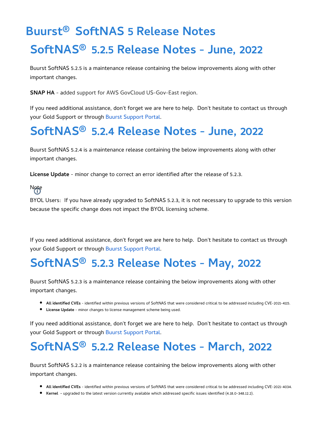# **Buurst® SoftNAS 5 Release Notes SoftNAS® 5.2.5 Release Notes - June, 2022**

Buurst SoftNAS 5.2.5 is a maintenance release containing the below improvements along with other important changes.

**SNAP HA** - added support for AWS GovCloud US-Gov-East region.

If you need additional assistance, don't forget we are here to help. Don't hesitate to contact us through your Gold Support or through [Buurst Support Portal](https://support.buurst.com/).

### **SoftNAS® 5.2.4 Release Notes - June, 2022**

Buurst SoftNAS 5.2.4 is a maintenance release containing the below improvements along with other important changes.

**License Update** - minor change to correct an error identified after the release of 5.2.3.

Note

BYOL Users: If you have already upgraded to SoftNAS 5.2.3, it is not necessary to upgrade to this version because the specific change does not impact the BYOL licensing scheme.

If you need additional assistance, don't forget we are here to help. Don't hesitate to contact us through your Gold Support or through [Buurst Support Portal](https://support.buurst.com/).

## **SoftNAS® 5.2.3 Release Notes - May, 2022**

Buurst SoftNAS 5.2.3 is a maintenance release containing the below improvements along with other important changes.

- **All identified CVEs** identified within previous versions of SoftNAS that were considered critical to be addressed including CVE-2021-4115.
- **License Update** minor changes to license management scheme being used.

If you need additional assistance, don't forget we are here to help. Don't hesitate to contact us through your Gold Support or through [Buurst Support Portal](https://support.buurst.com/).

### **SoftNAS® 5.2.2 Release Notes - March, 2022**

Buurst SoftNAS 5.2.2 is a maintenance release containing the below improvements along with other important changes.

- **All identified CVEs** identified within previous versions of SoftNAS that were considered critical to be addressed including CVE-2021-4034.
- **Kernel -** upgraded to the latest version currently available which addressed specific issues identified (4.18.0-348.12.2).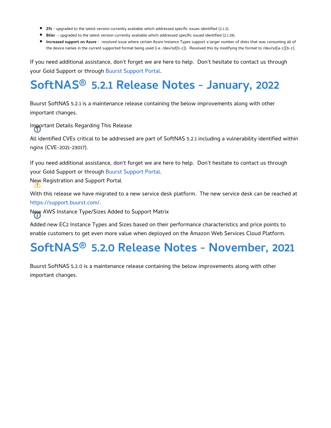- **Zfs** upgraded to the latest version currently available which addressed specific issues identified (2.1.2).
- **Btier** upgraded to the latest version currently available which addressed specific issued identified (2.1.29).
- **Increased support on Azure**  resolved issue where certain Azure Instance Types support a larger number of disks that was consuming all of the device names in the current supported format being used (i.e. /dev/sd[b-z]). Resolved this by modifying the format to /dev/sd[a-z][b-z].

If you need additional assistance, don't forget we are here to help. Don't hesitate to contact us through your Gold Support or through [Buurst Support Portal](https://support.buurst.com/).

## **SoftNAS® 5.2.1 Release Notes - January, 2022**

Buurst SoftNAS 5.2.1 is a maintenance release containing the below improvements along with other important changes.

Important Details Regarding This Release

All identified CVEs critical to be addressed are part of SoftNAS 5.2.1 including a vulnerability identified within nginx (CVE-2021-23017).

If you need additional assistance, don't forget we are here to help. Don't hesitate to contact us through your Gold Support or through [Buurst Support Portal](https://support.buurst.com/).

New Registration and Support Portal

With this release we have migrated to a new service desk platform. The new service desk can be reached at <https://support.buurst.com/>.

New AWS Instance Type/Sizes Added to Support Matrix

Added new EC2 Instance Types and Sizes based on their performance characteristics and price points to enable customers to get even more value when deployed on the Amazon Web Services Cloud Platform.

### **SoftNAS® 5.2.0 Release Notes - November, 2021**

Buurst SoftNAS 5.2.0 is a maintenance release containing the below improvements along with other important changes.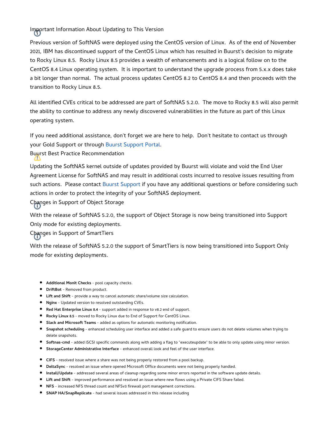Important Information About Updating to This Version

Previous version of SoftNAS were deployed using the CentOS version of Linux. As of the end of November 2021, IBM has discontinued support of the CentOS Linux which has resulted in Buurst's decision to migrate to Rocky Linux 8.5. Rocky Linux 8.5 provides a wealth of enhancements and is a logical follow on to the CentOS 8.4 Linux operating system. It is important to understand the upgrade process from 5.x.x does take a bit longer than normal. The actual process updates CentOS 8.2 to CentOS 8.4 and then proceeds with the transition to Rocky Linux 8.5.

All identified CVEs critical to be addressed are part of SoftNAS 5.2.0. The move to Rocky 8.5 will also permit the ability to continue to address any newly discovered vulnerabilities in the future as part of this Linux operating system.

If you need additional assistance, don't forget we are here to help. Don't hesitate to contact us through your Gold Support or through [Buurst Support Portal](https://support.buurst.com/).

Buurst Best Practice Recommendation

Updating the SoftNAS kernel outside of updates provided by Buurst will violate and void the End User Agreement License for SoftNAS and may result in additional costs incurred to resolve issues resulting from such actions. Please contact [Buurst Support](https://buurst.kayako.com/) if you have any additional questions or before considering such actions in order to protect the integrity of your SoftNAS deployment.

Changes in Support of Object Storage

With the release of SoftNAS 5.2.0, the support of Object Storage is now being transitioned into Support Only mode for existing deployments.

Changes in Support of SmartTiers

With the release of SoftNAS 5.2.0 the support of SmartTiers is now being transitioned into Support Only mode for existing deployments.

- **Additional Monit Checks** pool capacity checks.
- **DriftBot** Removed from product.
- **Lift and Shift**  provide a way to cancel automatic share/volume size calculation.
- **Nginx** Updated version to resolved outstanding CVEs.
- **Red Hat Enterprise Linux 8.4**  support added in response to v8.2 end of support.
- **Rocky Linux 8.5**  moved to Rocky Linux due to End of Support for CentOS Linux.
- **Slack and Microsoft Teams** added as options for automatic monitoring notification.
- **Snapshot scheduling** enhanced scheduling user interface and added a safe guard to ensure users do not delete volumes when trying to delete snapshots.
- **Softnas-cmd**  added iSCSI specific commands along with adding a flag to "executeupdate" to be able to only update using minor version.
- **StorageCenter Administrative Interface** enhanced overall look and feel of the user interface.
- **CIFS**  resolved issue where a share was not being properly restored from a pool backup.
- **DeltaSync** resolved an issue where opened Microsoft Office documents were not being properly handled.
- **Install/Update** addressed several areas of cleanup regarding some minor errors reported in the software update details.
- **Lift and Shift**  improved performance and resolved an issue where new flows using a Private CIFS Share failed.
- **NFS**  increased NFS thread count and NFSv3 firewall port management corrections.
- **SNAP HA/SnapReplicate**  had several issues addressed in this release including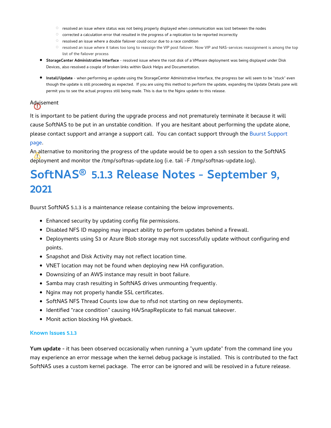- $\circ$  resolved an issue where status was not being properly displayed when communication was lost between the nodes
- $\circ$  corrected a calculation error that resulted in the progress of a replication to be reported incorrectly
- $\circ$  resolved an issue where a double failover could occur due to a race condition
- $\circ$  resolved an issue where it takes too long to reassign the VIP post failover. Now VIP and NAS-services reassignment is among the top list of the failover process
- **StorageCenter Administrative Interface** resolved issue where the root disk of a VMware deployment was being displayed under Disk Devices, also resolved a couple of broken links within Quick Helps and Documentation.
- **Install/Update** when performing an update using the StorageCenter Administrative Interface, the progress bar will seem to be "stuck" even though the update is still proceeding as expected. If you are using this method to perform the update, expanding the Update Details pane will permit you to see the actual progress still being made. This is due to the Nginx update to this release.

#### Advisement

It is important to be patient during the upgrade process and not prematurely terminate it because it will cause SoftNAS to be put in an unstable condition. If you are hesitant about performing the update alone, please contact support and arrange a support call. You can contact support through the [Buurst Support](https://buurst.kayako.com/)  [page.](https://buurst.kayako.com/)

An alternative to monitoring the progress of the update would be to open a ssh session to the SoftNAS deployment and monitor the /tmp/softnas-update.log (i.e. tail -F /tmp/softnas-update.log).

## **SoftNAS® 5.1.3 Release Notes - September 9, 2021**

Buurst SoftNAS 5.1.3 is a maintenance release containing the below improvements.

- Enhanced security by updating config file permissions.
- Disabled NFS ID mapping may impact ability to perform updates behind a firewall.
- Deployments using S3 or Azure Blob storage may not successfully update without configuring end points.
- Snapshot and Disk Activity may not reflect location time.
- VNET location may not be found when deploying new HA configuration.
- Downsizing of an AWS instance may result in boot failure.
- Samba may crash resulting in SoftNAS drives unmounting frequently.
- Nginx may not properly handle SSL certificates.
- SoftNAS NFS Thread Counts low due to nfsd not starting on new deployments.
- Identified "race condition" causing HA/SnapReplicate to fail manual takeover.
- Monit action blocking HA giveback.

#### **Known Issues 5.1.3**

**Yum update -** it has been observed occasionally when running a "yum update" from the command line you may experience an error message when the kernel debug package is installed. This is contributed to the fact SoftNAS uses a custom kernel package. The error can be ignored and will be resolved in a future release.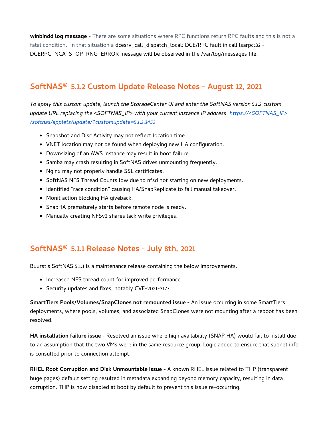**winbindd log message** - There are some situations where RPC functions return RPC faults and this is not a fatal condition. In that situation a dcesrv\_call\_dispatch\_local: DCE/RPC fault in call lsarpc:32 - DCERPC\_NCA\_S\_OP\_RNG\_ERROR message will be observed in the /var/log/messages file.

### **SoftNAS® 5.1.2 Custom Update Release Notes - August 12, 2021**

*To apply this custom update, launch the StorageCenter UI and enter the SoftNAS version 5.1.2 custom update URL replacing the <SOFTNAS\_IP> with your current instance IP address: https://<SOFTNAS\_IP> /softnas/applets/update/?customupdate=5.1.2.3452*

- Snapshot and Disc Activity may not reflect location time.
- VNET location may not be found when deploying new HA configuration.
- Downsizing of an AWS instance may result in boot failure.
- Samba may crash resulting in SoftNAS drives unmounting frequently.
- Nginx may not properly handle SSL certificates.
- SoftNAS NFS Thread Counts low due to nfsd not starting on new deployments.
- **Identified "race condition" causing HA/SnapReplicate to fail manual takeover.**
- Monit action blocking HA giveback.
- SnapHA prematurely starts before remote node is ready.
- Manually creating NFSv3 shares lack write privileges.

### **SoftNAS® 5.1.1 Release Notes - July 8th, 2021**

Buurst's SoftNAS 5.1.1 is a maintenance release containing the below improvements.

- $\bullet$  Increased NFS thread count for improved performance.
- Security updates and fixes, notably CVE-2021-3177.

**SmartTiers Pools/Volumes/SnapClones not remounted issue -** An issue occurring in some SmartTiers deployments, where pools, volumes, and associated SnapClones were not mounting after a reboot has been resolved.

**HA installation failure issue -** Resolved an issue where high availability (SNAP HA) would fail to install due to an assumption that the two VMs were in the same resource group. Logic added to ensure that subnet info is consulted prior to connection attempt.

**RHEL Root Corruption and Disk Unmountable issue -** A known RHEL issue related to THP (transparent huge pages) default setting resulted in metadata expanding beyond memory capacity, resulting in data corruption. THP is now disabled at boot by default to prevent this issue re-occurring.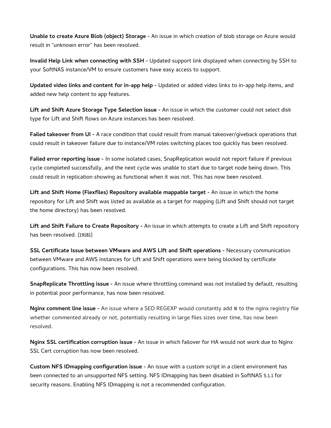**Unable to create Azure Blob (object) Storage -** An issue in which creation of blob storage on Azure would result in "unknown error" has been resolved.

**Invalid Help Link when connecting with SSH -** Updated support link displayed when connecting by SSH to your SoftNAS instance/VM to ensure customers have easy access to support.

**Updated video links and content for in-app help -** Updated or added video links to in-app help items, and added new help content to app features.

**Lift and Shift Azure Storage Type Selection issue -** An issue in which the customer could not select disk type for Lift and Shift flows on Azure instances has been resolved.

**Failed takeover from UI -** A race condition that could result from manual takeover/giveback operations that could result in takeover failure due to instance/VM roles switching places too quickly has been resolved.

**Failed error reporting issue -** In some isolated cases, SnapReplication would not report failure if previous cycle completed successfully, and the next cycle was unable to start due to target node being down. This could result in replication showing as functional when it was not. This has now been resolved.

**Lift and Shift Home (Flexfiles) Repository available mappable target -** An issue in which the home repository for Lift and Shift was listed as available as a target for mapping (Lift and Shift should not target the home directory) has been resolved.

**Lift and Shift Failure to Create Repository -** An issue in which attempts to create a Lift and Shift repository has been resolved. (19181)

**SSL Certificate Issue between VMware and AWS Lift and Shift operations -** Necessary communication between VMware and AWS instances for Lift and Shift operations were being blocked by certificate configurations. This has now been resolved.

**SnapReplicate Throttling issue -** An issue where throttling command was not installed by default, resulting in potential poor performance, has now been resolved.

**Nginx comment line issue -** An issue where a SED REGEXP would constantly add # to the nginx registry file whether commented already or not, potentially resulting in large files sizes over time, has now been resolved.

**Nginx SSL certification corruption issue -** An issue in which failover for HA would not work due to Nginx SSL Cert corruption has now been resolved.

**Custom NFS IDmapping configuration issue -** An issue with a custom script in a client environment has been connected to an unsupported NFS setting. NFS IDmapping has been disabled in SoftNAS 5.1.1 for security reasons. Enabling NFS IDmapping is not a recommended configuration.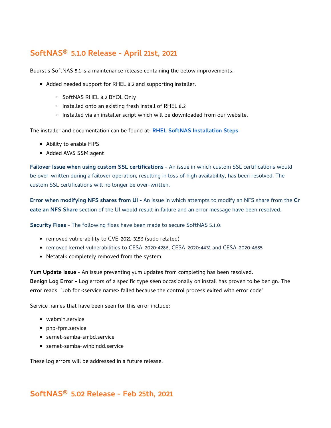### **SoftNAS® 5.1.0 Release - April 21st, 2021**

Buurst's SoftNAS 5.1 is a maintenance release containing the below improvements.

- Added needed support for RHEL 8.2 and supporting installer.
	- O SoftNAS RHEL 8.2 BYOL Only
	- $\circ$  Installed onto an existing fresh install of RHEL 8.2
	- $\circ$  Installed via an installer script which will be downloaded from our website.

The installer and documentation can be found at: **[RHEL SoftNAS Installation Steps](https://docs.softnas.com/display/SD/RHEL+SoftNAS+Installation+Steps)**

- Ability to enable FIPS
- Added AWS SSM agent

**Failover Issue when using custom SSL certifications -** An issue in which custom SSL certifications would be over-written during a failover operation, resulting in loss of high availability, has been resolved. The custom SSL certifications will no longer be over-written.

**Error when modifying NFS shares from UI -** An issue in which attempts to modify an NFS share from the **Cr eate an NFS Share** section of the UI would result in failure and an error message have been resolved.

**Security Fixes -** The following fixes have been made to secure SoftNAS 5.1.0:

- removed vulnerability to CVE-2021-3156 (sudo related)
- removed kernel vulnerabilities to CESA-2020:4286, CESA-2020:4431 and CESA-2020:4685
- Netatalk completely removed from the system

**Yum Update Issue -** An issue preventing yum updates from completing has been resolved. **Benign Log Error -** Log errors of a specific type seen occasionally on install has proven to be benign. The error reads "Job for <service name> failed because the control process exited with error code"

Service names that have been seen for this error include:

- webmin.service
- php-fpm.service
- sernet-samba-smbd.service
- sernet-samba-winbindd.service

These log errors will be addressed in a future release.

### **SoftNAS® 5.02 Release - Feb 25th, 2021**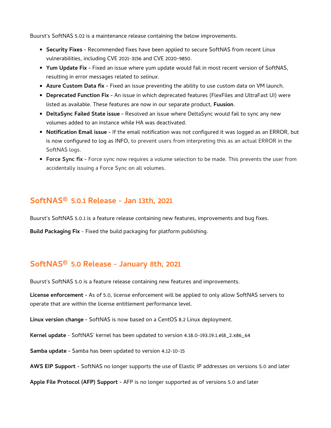Buurst's SoftNAS 5.02 is a maintenance release containing the below improvements.

- **Security Fixes -** Recommended fixes have been applied to secure SoftNAS from recent Linux vulnerabilities, including CVE 2021-3156 and CVE 2020-9850.
- **Yum Update Fix -** Fixed an issue where yum update would fail in most recent version of SoftNAS, resulting in error messages related to *selinux*.
- **Azure Custom Data fix -** Fixed an issue preventing the ability to use custom data on VM launch.
- **Deprecated Function Fix** An issue in which deprecated features (FlexFiles and UltraFast UI) were listed as available. These features are now in our separate product, **Fuusion**.
- **DeltaSync Failed State issue -** Resolved an issue where DeltaSync would fail to sync any new volumes added to an instance while HA was deactivated.
- **Notification Email issue -** If the email notification was not configured it was logged as an ERROR, but is now configured to log as INFO, to prevent users from interpreting this as an actual ERROR in the SoftNAS logs.
- **Force Sync fix -** Force sync now requires a volume selection to be made. This prevents the user from accidentally issuing a Force Sync on all volumes.

#### **SoftNAS® 5.0.1 Release - Jan 13th, 2021**

Buurst's SoftNAS 5.0.1 is a feature release containing new features, improvements and bug fixes.

**Build Packaging Fix** - Fixed the build packaging for platform publishing.

### **SoftNAS® 5.0 Release - January 8th, 2021**

Buurst's SoftNAS 5.0 is a feature release containing new features and improvements.

**License enforcement -** As of 5.0, license enforcement will be applied to only allow SoftNAS servers to operate that are within the license entitlement performance level.

**Linux version change -** SoftNAS is now based on a CentOS 8.2 Linux deployment.

**Kernel update** - SoftNAS' kernel has been updated to version 4.18.0-193.19.1.el8\_2.x86\_64

**Samba update -** Samba has been updated to version 4.12-10-15

**AWS EIP Support -** SoftNAS no longer supports the use of Elastic IP addresses on versions 5.0 and later

**Apple File Protocol (AFP) Support -** AFP is no longer supported as of versions 5.0 and later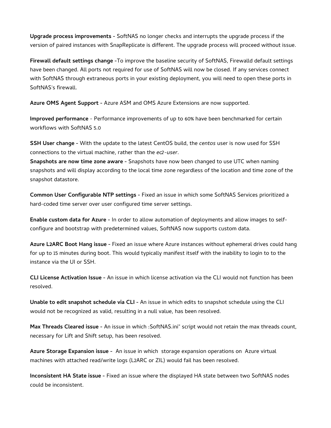**Upgrade process improvements -** SoftNAS no longer checks and interrupts the upgrade process if the version of paired instances with SnapReplicate is different. The upgrade process will proceed without issue.

**Firewall default settings change -**To improve the baseline security of SoftNAS, Firewalld default settings have been changed. All ports not required for use of SoftNAS will now be closed. If any services connect with SoftNAS through extraneous ports in your existing deployment, you will need to open these ports in SoftNAS's firewall.

**Azure OMS Agent Support -** Azure ASM and OMS Azure Extensions are now supported.

**Improved performance** - Performance improvements of up to 60% have been benchmarked for certain workflows with SoftNAS 5.0

**SSH User change -** With the update to the latest CentOS build, the *centos* user is now used for SSH connections to the virtual machine, rather than the *ec2-user*.

**Snapshots are now time zone aware -** Snapshots have now been changed to use UTC when naming snapshots and will display according to the local time zone regardless of the location and time zone of the snapshot datastore.

**Common User Configurable NTP settings -** Fixed an issue in which some SoftNAS Services prioritized a hard-coded time server over user configured time server settings.

**Enable custom data for Azure -** In order to allow automation of deployments and allow images to selfconfigure and bootstrap with predetermined values, SoftNAS now supports custom data.

**Azure L2ARC Boot Hang issue -** Fixed an issue where Azure instances without ephemeral drives could hang for up to 15 minutes during boot. This would typically manifest itself with the inability to login to to the instance via the UI or SSH.

**CLI License Activation Issue -** An issue in which license activation via the CLI would not function has been resolved.

**Unable to edit snapshot schedule via CLI -** An issue in which edits to snapshot schedule using the CLI would not be recognized as valid, resulting in a null value, has been resolved.

**Max Threads Cleared issue -** An issue in which :SoftNAS.ini" script would not retain the max threads count, necessary for Lift and Shift setup, has been resolved.

**Azure Storage Expansion issue -** An issue in which storage expansion operations on Azure virtual machines with attached read/write logs (L2ARC or ZIL) would fail has been resolved.

**Inconsistent HA State issue -** Fixed an issue where the displayed HA state between two SoftNAS nodes could be inconsistent.